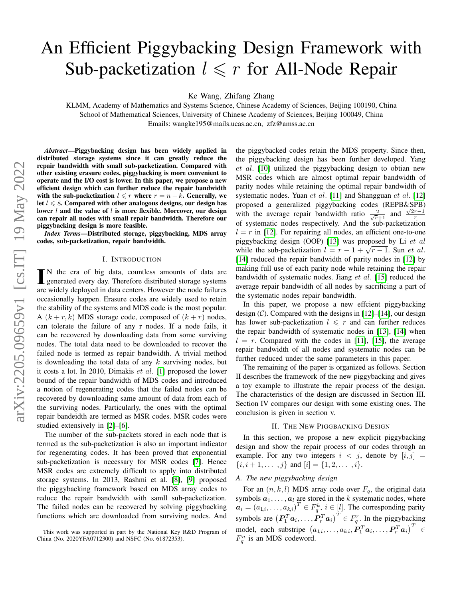# An Efficient Piggybacking Design Framework with Sub-packetization  $l \leq r$  for All-Node Repair

Ke Wang, Zhifang Zhang

KLMM, Academy of Mathematics and Systems Science, Chinese Academy of Sciences, Beijing 100190, China School of Mathematical Sciences, University of Chinese Academy of Sciences, Beijing 100049, China Emails: wangke195@mails.ucas.ac.cn, zfz@amss.ac.cn

*Abstract*—Piggybacking design has been widely applied in distributed storage systems since it can greatly reduce the repair bandwidth with small sub-packetization. Compared with other existing erasure codes, piggybacking is more convenient to operate and the I/O cost is lower. In this paper, we propose a new efficient design which can further reduce the repair bandwidth with the sub-packetization  $l \leq r$  where  $r = n - k$ . Generally, we let  $l \leq 8$ . Compared with other analogous designs, our design has lower  $l$  and the value of  $l$  is more flexible. Moreover, our design can repair all nodes with small repair bandwidth. Therefore our piggybacking design is more feasible.

*Index Terms*—Distributed storage, piggybacking, MDS array codes, sub-packetization, repair bandwidth.

## I. INTRODUCTION

IN the era of big data, countless amounts of data are<br>generated every day. Therefore distributed storage systems N the era of big data, countless amounts of data are are widely deployed in data centers. However the node failures occasionally happen. Erasure codes are widely used to retain the stability of the systems and MDS code is the most popular. A  $(k + r, k)$  MDS storage code, composed of  $(k + r)$  nodes, can tolerate the failure of any r nodes. If a node fails, it can be recovered by downloading data from some surviving nodes. The total data need to be downloaded to recover the failed node is termed as repair bandwidth. A trivial method is downloading the total data of any  $k$  surviving nodes, but it costs a lot. In 2010, Dimakis et al. [\[1\]](#page-4-0) proposed the lower bound of the repair bandwidth of MDS codes and introduced a notion of regenerating codes that the failed nodes can be recovered by downloading same amount of data from each of the surviving nodes. Particularly, the ones with the optimal repair bandeidth are termed as MSR codes. MSR codes were studied extensively in [\[2\]](#page-4-1)–[\[6\]](#page-4-2).

The number of the sub-packets stored in each node that is termed as the sub-packetization is also an important indicator for regenerating codes. It has been proved that exponential sub-packetization is necessary for MSR codes [\[7\]](#page-4-3). Hence MSR codes are extremely difficult to apply into distributed storage systems. In 2013, Rashmi et al. [\[8\]](#page-4-4), [\[9\]](#page-4-5) proposed the piggybacking framework based on MDS array codes to reduce the repair bandwidth with samll sub-packetization. The failed nodes can be recovered by solving piggybacking functions which are downloaded from surviving nodes. And the piggybacked codes retain the MDS property. Since then, the piggybacking design has been further developed. Yang et al. [\[10\]](#page-4-6) utilized the piggybacking design to obtian new MSR codes which are almost optimal repair bandwidth of parity nodes while retaining the optimal repair bandwidth of systematic nodes. Yuan  $et$   $al$ . [\[11\]](#page-4-7) and Shangguan  $et$   $al$ . [\[12\]](#page-4-8) proposed a generalized piggybacking codes (REPB&SPB) with the average repair bandwidth ratio  $\frac{2}{\sqrt{r}+1}$  and  $\frac{\sqrt{2r-1}}{r}$ of systematic nodes respectively. And the sub-packetization  $l = r$  in [\[12\]](#page-4-8). For repairing all nodes, an efficient one-to-one piggybacking design (OOP) [\[13\]](#page-4-9) was proposed by Li et al piggybacking design (OOP) [15] was proposed by Li *et al*.<br>while the sub-packetization  $l = r - 1 + \sqrt{r - 1}$ . Sun *et al.* [\[14\]](#page-4-10) reduced the repair bandwidth of parity nodes in [\[12\]](#page-4-8) by making full use of each parity node while retaining the repair bandwidth of systematic nodes. Jiang  $et$  al. [\[15\]](#page-4-11) reduced the average repair bandwidth of all nodes by sacrificing a part of the systematic nodes repair bandwidth.

In this paper, we propose a new effcient piggybacking design  $(C)$ . Compared with the designs in [\[12\]](#page-4-8)–[\[14\]](#page-4-10), our design has lower sub-packetization  $l \leq r$  and can further reduces the repair bandwidth of systematic nodes in [\[13\]](#page-4-9), [\[14\]](#page-4-10) when  $l = r$ . Compared with the codes in [\[11\]](#page-4-7), [\[15\]](#page-4-11), the average repair bandwidth of all nodes and systematic nodes can be further reduced under the same parameters in this paper.

The remaining of the paper is organized as follows. Section II describes the framework of the new piggybacking and gives a toy example to illustrate the repair process of the design. The characteristics of the design are discussed in Section III. Section IV compares our design with some existing ones. The conclusion is given in section v.

## II. THE NEW PIGGBACKING DESIGN

In this section, we propose a new explicit piggybacking design and show the repair process of our codes through an example. For any two integers  $i < j$ , denote by  $[i, j] =$  $\{i, i+1, \ldots, j\}$  and  $[i] = \{1, 2, \ldots, i\}.$ 

# *A. The new piggybacking design*

For an  $(n, k, l)$  MDS array code over  $F_q$ , the original data symbols  $a_1, \ldots, a_l$  are stored in the k systematic nodes, where  $a_i = (a_{1,i}, \dots, a_{k,i})^T \in F_q^k$ ,  $i \in [l]$ . The corresponding parity symbols are  $(P_1^T a_i, ..., P_r^T a_i)^T \in F_q^r$ . In the piggybacking model, each substripe  $\begin{bmatrix} a_{1,i},\ldots,a_{k,i},\boldsymbol{P}_1^T\boldsymbol{a}_i,\ldots,\boldsymbol{P}_r^T\boldsymbol{a}_i \end{bmatrix}^T\in$  $F_q^n$  is an MDS codeword.

This work was supported in part by the National Key R&D Program of China (No. 2020YFA0712300) and NSFC (No. 61872353).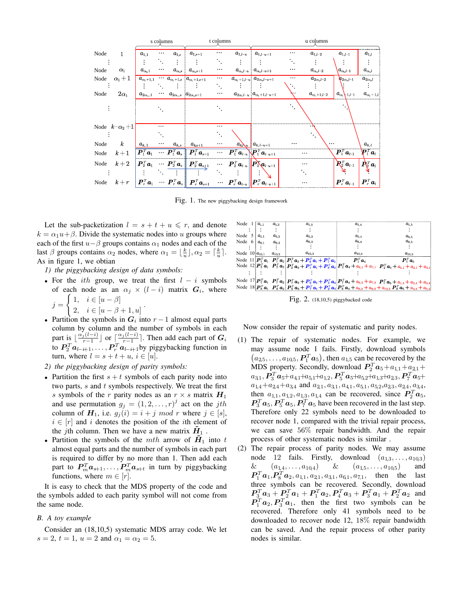|      |                     | s columns                                |          |                                                | t columns                                                                                                                                                                                                                                                                                                           |                         |                                                                                                                                                                    | u columns                                     |          |                                               |                                             |                                  |
|------|---------------------|------------------------------------------|----------|------------------------------------------------|---------------------------------------------------------------------------------------------------------------------------------------------------------------------------------------------------------------------------------------------------------------------------------------------------------------------|-------------------------|--------------------------------------------------------------------------------------------------------------------------------------------------------------------|-----------------------------------------------|----------|-----------------------------------------------|---------------------------------------------|----------------------------------|
| Node | $\mathbf{1}$        | $a_{1,1}$                                | $\cdots$ | $a_{1,s}$                                      | $a_{1,s+1}$                                                                                                                                                                                                                                                                                                         | $\cdots$                |                                                                                                                                                                    | $a_{1,l-u}$   $a_{1,l-u+1}$                   |          | $a_{1,l-2}$                                   | $a_{1,l-1}$                                 | $a_{1,l}$                        |
|      |                     |                                          |          |                                                |                                                                                                                                                                                                                                                                                                                     | ٠.                      |                                                                                                                                                                    |                                               | ٠.       |                                               |                                             |                                  |
| Node | $\alpha_1$          | $a_{\alpha_{\rm n},1}$                   | $\cdots$ |                                                | $\mid a_{\alpha_{\text{b}}s}\mid\mid a_{\alpha_{\text{b}}s+1}\mid$                                                                                                                                                                                                                                                  | $\cdots$                |                                                                                                                                                                    | $a_{\alpha,l-u} \mid a_{\alpha,l-u+1}$        |          | $a_{\alpha_{\text{1}},l-2}$                   | $a_{\alpha_{1},l-1}$                        | $a_{\alpha_{\text{\tiny{1}}},l}$ |
| Node | $\alpha_1+1$        | $a_{\alpha_{\scriptscriptstyle1} + 1,1}$ |          |                                                | $\cdots a_{\alpha_1+1,s} \mid a_{\alpha_1+1,s+1}$                                                                                                                                                                                                                                                                   | $\cdots$                |                                                                                                                                                                    | $a_{\alpha_1+1,l-u}$ $a_{2\alpha_1l-u+1}$     |          | $a_{2\alpha_{1}l-2}$                          | $a_{2\alpha, l-1}$                          | $a_{2\alpha_{1}l}$               |
|      |                     |                                          |          |                                                |                                                                                                                                                                                                                                                                                                                     | Ν,                      |                                                                                                                                                                    |                                               |          |                                               |                                             |                                  |
| Node | $2\alpha_1$         | $a_{2\alpha_{1},\,1}$                    |          | $\cdots$ $a_{2\alpha_1,s}$ $a_{2\alpha_1,s+1}$ |                                                                                                                                                                                                                                                                                                                     | $\cdots$                |                                                                                                                                                                    | $a_{2\alpha_1 l - u}   a_{\alpha_1+1, l-u+1}$ |          | $a_{\alpha_{\scriptscriptstyle1} + 1, l = 2}$ | $a_{\alpha_1+1,l-1}$                        | $a_{\alpha_1+1,l}$               |
|      |                     |                                          |          |                                                |                                                                                                                                                                                                                                                                                                                     |                         |                                                                                                                                                                    |                                               |          |                                               |                                             |                                  |
|      | Node $k-\alpha_2+1$ |                                          | $\cdots$ |                                                |                                                                                                                                                                                                                                                                                                                     | $\cdots$                |                                                                                                                                                                    |                                               |          |                                               |                                             |                                  |
|      |                     |                                          |          |                                                |                                                                                                                                                                                                                                                                                                                     |                         |                                                                                                                                                                    |                                               |          |                                               |                                             |                                  |
| Node | $\boldsymbol{k}$    | $a_{k,1}$                                | $\cdots$ |                                                | $a_{k,s} \quad a_{ks+1}$                                                                                                                                                                                                                                                                                            | $\cdots$                |                                                                                                                                                                    | $a_{k}$ $a_{k,l-u+1}$                         | $\cdots$ |                                               |                                             | $a_{k,l}$                        |
| Node | $k+1$               |                                          |          |                                                | $\begin{bmatrix} \boldsymbol{P}_1^T \boldsymbol{a}_1 & \cdots & \boldsymbol{P}_1^T \boldsymbol{a}_s \end{bmatrix} \begin{bmatrix} \boldsymbol{P}_1^T \boldsymbol{a}_{s+1} & \cdots & \boldsymbol{P}_1^T \boldsymbol{a}_{l-u} \end{bmatrix} \begin{bmatrix} \boldsymbol{P}_1^T \boldsymbol{a}_{l-u+1} \end{bmatrix}$ |                         |                                                                                                                                                                    |                                               | $\cdots$ |                                               | $\overline{\bm{P}_1^T \bm{a}_{l\text{-}1}}$ | $\mathbf{P}_1^T\bm{a}_l$         |
| Node | $k+2$               |                                          |          |                                                | $\begin{array}{ l } \hline \boldsymbol{P}_2^T\boldsymbol{a}_1 & \cdots & \boldsymbol{P}_2^T\boldsymbol{a}_s \end{array} \begin{array}{ l } \hline \boldsymbol{P}_2^T\boldsymbol{a}_{s+1} \end{array}$                                                                                                               |                         | $\cdots \quad \boldsymbol{P}_2^{\ \! \mathrm{\scriptscriptstyle T} } \boldsymbol{a}_{l-u} \big \big  \boldsymbol{P}_2^{\!\mathbf{v}} \boldsymbol{a}_{l-u+1} \big $ |                                               | $\cdots$ |                                               | $\mathbf{R}^T_2$ <b>a</b> <sub>l-1</sub>    | $\mathbf{A}_k^T\mathbf{a}_l$     |
|      |                     |                                          |          |                                                |                                                                                                                                                                                                                                                                                                                     | $\mathcal{M}_{\rm eff}$ |                                                                                                                                                                    |                                               |          |                                               |                                             |                                  |
| Node |                     |                                          |          |                                                | $\begin{array}{ccccc} k+r & P_r^T\bm{a}_1 & \cdots & P_r^T\bm{a}_s \end{array}$ $\begin{array}{ccc} \mathbf{P}_r^T\bm{a}_{s+1} & \cdots & \mathbf{P}_r^T\bm{a}_{l-u} \end{array}$ $\begin{array}{ccc} P_r^T\bm{a}_{l-u+1} \end{array}$                                                                              |                         |                                                                                                                                                                    |                                               | $\cdots$ |                                               | $\bm{P}_r^T\bm{a}_{l\text{-}1}$             | $\bm{P}_r^T\bm{a}_l$             |

Fig. 1. The new piggybacking design framework

Let the sub-packetization  $l = s + t + u \leq r$ , and denote  $k = \alpha_1 u + \beta$ . Divide the systematic nodes into u groups where each of the first  $u-\beta$  groups contains  $\alpha_1$  nodes and each of the last  $\beta$  groups contains  $\alpha_2$  nodes, where  $\alpha_1 = \lfloor \frac{k}{u} \rfloor, \alpha_2 = \lceil \frac{k}{u} \rceil$ . As in figure 1, we obtian

*1) the piggybacking design of data symbols:*

- For the *ith* group, we treat the first  $l i$  symbols of each node as an  $\alpha_j \times (l - i)$  matrix  $G_i$ , where  $j =$  $\int 1, i \in [u - \beta]$ 2,  $i \in [u - \beta + 1, u]$
- Partition the symbols in  $G_i$  into  $r-1$  almost equal parts
- column by column and the number of symbols in each part is  $\lfloor \frac{\alpha_j(l-i)}{r-1} \rfloor$  or  $\lfloor \frac{\alpha_j(l-i)}{r-1} \rceil$ . Then add each part of  $G_i$ to  $P_2^T a_{l-i+1}, \ldots, P_r^T a_{l-i+1}$ by piggybacking function in turn, where  $l = s + t + u$ ,  $i \in [u]$ .
- *2) the piggybacking design of parity symbols:*
- Partition the first  $s + t$  symbols of each parity node into two parts,  $s$  and  $t$  symbols respectively. We treat the first s symbols of the r parity nodes as an  $r \times s$  matrix  $H_1$ and use permutation  $g_j = (1, 2, \dots, r)^j$  act on the jth column of  $H_1$ , i.e.  $g_i(i) = i + j \mod r$  where  $j \in [s]$ ,  $i \in [r]$  and i denotes the position of the ith element of the jth column. Then we have a new matrix  $\tilde{H}_1$ .
- Partition the symbols of the mth arrow of  $H_1$  into t almost equal parts and the number of symbols in each part is required to differ by no more than 1. Then add each part to  $P_m^T a_{s+1}, \ldots, P_m^T a_{s+t}$  in turn by piggybacking functions, where  $m \in [r]$ .

It is easy to check that the MDS property of the code and the symbols added to each parity symbol will not come from the same node.

# *B. A toy example*

Consider an (18,10,5) systematic MDS array code. We let  $s = 2, t = 1, u = 2 \text{ and } \alpha_1 = \alpha_2 = 5.$ 

| Node $1   a_{1,1}$            | $a_{1,2}$  | $a_{1,3}$                                                                                                                                                                                                                                                                 | $a_{1.4}$  | $a_{1.5}$                                                                                                                                                                                                                                                                                                                        |
|-------------------------------|------------|---------------------------------------------------------------------------------------------------------------------------------------------------------------------------------------------------------------------------------------------------------------------------|------------|----------------------------------------------------------------------------------------------------------------------------------------------------------------------------------------------------------------------------------------------------------------------------------------------------------------------------------|
|                               |            |                                                                                                                                                                                                                                                                           |            |                                                                                                                                                                                                                                                                                                                                  |
| Node $5 \mid a_{5,1}$         | $a_{5,2}$  | $a_{5,3}$                                                                                                                                                                                                                                                                 | $a_{5.4}$  | $a_{5.5}$                                                                                                                                                                                                                                                                                                                        |
| Node $6   a_{6,1} \t a_{6,2}$ |            | $a_{6.3}$                                                                                                                                                                                                                                                                 | $a_{6.4}$  | $a_{6.5}$                                                                                                                                                                                                                                                                                                                        |
|                               |            |                                                                                                                                                                                                                                                                           |            |                                                                                                                                                                                                                                                                                                                                  |
| Node $10   a_{10.1}$          | $a_{10.2}$ | $a_{10.3}$                                                                                                                                                                                                                                                                | $a_{10.4}$ | $a_{10.5}$                                                                                                                                                                                                                                                                                                                       |
|                               |            | Node 11 $\left \mathbf{P}_1^T\mathbf{a}_1\right  \left \mathbf{P}_1^T\mathbf{a}_2\right  \left \mathbf{P}_1^T\mathbf{a}_3+\mathbf{P}_8^T\mathbf{a}_1+\mathbf{P}_7^T\mathbf{a}_2\right $ $\left \mathbf{P}_1^T\mathbf{a}_4\right  \left \mathbf{P}_1^T\mathbf{a}_5\right $ |            |                                                                                                                                                                                                                                                                                                                                  |
|                               |            |                                                                                                                                                                                                                                                                           |            | Node $12\left \boldsymbol{P}_2^T\boldsymbol{a}_1\right  \boldsymbol{P}_2^T\boldsymbol{a}_2\left \boldsymbol{P}_2^T\boldsymbol{a}_3+\boldsymbol{P}_1^T\boldsymbol{a}_1+\boldsymbol{P}_3^T\boldsymbol{a}_2\right  \boldsymbol{P}_2^T\boldsymbol{a}_4+a_{6,1}+a_{7,1}$ $\boldsymbol{P}_2^T\boldsymbol{a}_5+a_{1,1}+a_{2,1}+a_{3,1}$ |
|                               |            |                                                                                                                                                                                                                                                                           |            |                                                                                                                                                                                                                                                                                                                                  |
|                               |            |                                                                                                                                                                                                                                                                           |            | Node $17 \mathbf{P}_7^T\mathbf{a}_1\mathbf{P}_7^T\mathbf{a}_2 \mathbf{P}_7^T\mathbf{a}_3 + \mathbf{P}_6^T\mathbf{a}_1 + \mathbf{P}_5^T\mathbf{a}_2 \mathbf{P}_7^T\mathbf{a}_4 + a_{6,3} + a_{7,3}$ $\mathbf{P}_7^T\mathbf{a}_5 + a_{1,4} + a_{2,4} + a_{3,4}$                                                                    |
|                               |            |                                                                                                                                                                                                                                                                           |            | Node $18\left[\mathbf{P}_8^T\mathbf{a}_1 \ \mathbf{P}_8^T\mathbf{a}_2\right] \mathbf{P}_8^T\mathbf{a}_3 + \mathbf{P}_7^T\mathbf{a}_1 + \mathbf{P}_6^T\mathbf{a}_2\right] \mathbf{P}_8^T\mathbf{a}_4 + a_{8,3} + a_{9,3} + a_{10,3} \ \mathbf{P}_8^T\mathbf{a}_5 + a_{4,4} + a_{5,4}$                                             |

Fig. 2. (18,10,5) piggybacked code

Now consider the repair of systematic and parity nodes.

- (1) The repair of systematic nodes. For example, we may assume node 1 fails. Firstly, download symbols  $(a_{2,5}, \ldots, a_{10,5}, P_1^T a_5)$ , then  $a_{1,5}$  can be recovered by the MDS property. Secondly, download  $P_2^T a_5 + a_{1,1} + a_{2,1} + a_{3,1}$  $a_{31}, \boldsymbol{P}_3^T{\boldsymbol{a}}_5 + a_{4,1} + a_{5,1} + a_{1,2}, \boldsymbol{P}_5^T{\boldsymbol{a}}_5 + a_{5,2} + a_{1,3} + a_{2,3}, \boldsymbol{P}_7^T{\boldsymbol{a}}_5 +$  $a_{1,4}+a_{2,4}+a_{3,4}$  and  $a_{2,1}, a_{3,1}, a_{4,1}, a_{5,1}, a_{5,2}, a_{2,3}, a_{2,4}, a_{3,4}$ , then  $a_{1,1}, a_{1,2}, a_{1,3}, a_{1,4}$  can be recovered, since  $P_2^T a_5$ ,  $\boldsymbol{P}_3^T\boldsymbol{a}_5, \boldsymbol{P}_5^T\boldsymbol{a}_5, \boldsymbol{P}_7^T\boldsymbol{a}_5$  have been recovered in the last step. Therefore only 22 symbols need to be downloaded to recover node 1, compared with the trivial repair process, we can save 56% repair bandwidth. And the repair process of other systematic nodes is similar .
- (2) The repair process of parity nodes. We may assume node 12 fails. Firstly, download  $(a_{1,3}, \ldots, a_{10,3})$  $\& \quad (a_{1,4}, \ldots, a_{10,4}) \quad \& \quad (a_{1,5}, \ldots, a_{10,5})$  and  $P_1^T a_1, P_8^T a_2, a_{1,1}, a_{2,1}, a_{3,1}, a_{6,1}, a_{7,1}$ , then the last three symbols can be recovered. Secondly, download  $\bm{P}_3^T\bm{a}_3 + \bm{P}_2^T\bm{a}_1 + \bm{P}_1^T\bm{a}_2, \bm{P}_4^T\bm{a}_3 + \bm{P}_3^T\bm{a}_1 + \bm{P}_2^T\bm{a}_2$  and  $\mathbf{P}_1^T \mathbf{a}_2, \mathbf{P}_3^T \mathbf{a}_1$ , then the first two symbols can be recovered. Therefore only 41 symbols need to be downloaded to recover node 12, 18% repair bandwidth can be saved. And the repair process of other parity nodes is similar.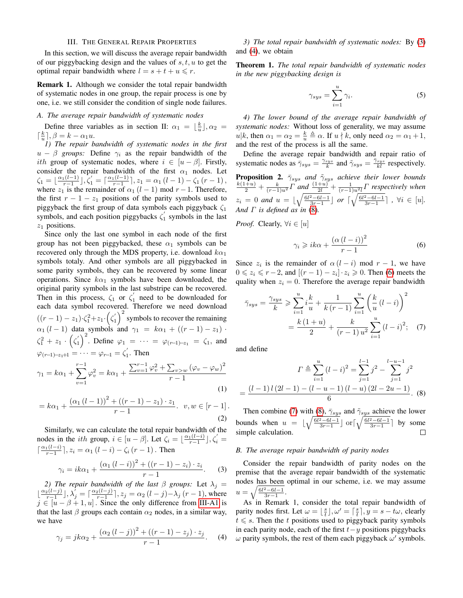# III. THE GENERAL REPAIR PROPERTIES

In this section, we will discuss the average repair bandwidth of our piggybacking design and the values of  $s, t, u$  to get the optimal repair bandwidth where  $l = s + t + u \leq r$ .

Remark 1. Although we consider the total repair bandwidth of systematic nodes in one group, the repair process is one by one, i.e. we still consider the condition of single node failures.

# *A. The average repair bandwidth of systematic nodes*

Define three variables as in section II:  $\alpha_1 = \lfloor \frac{k}{u} \rfloor, \alpha_2 =$  $\lceil \frac{k}{u} \rceil, \beta = k - \alpha_1 u.$ 

<span id="page-2-0"></span>*1) The repair bandwidth of systematic nodes in the first*  $u - \beta$  *groups:* Define  $\gamma_i$  as the repair bandwidth of the *ith* group of systematic nodes, where  $i \in [u - \beta]$ . Firstly, consider the repair bandwidth of the first  $\alpha_1$  nodes. Let  $\zeta_1 = \lfloor \frac{\alpha_1(l-1)}{r-1} \rfloor, \zeta_1' = \lceil \frac{\alpha_1(l-1)}{r-1} \rceil, z_1 = \alpha_1 (l-1) - \zeta_1 (r-1),$ where  $z_1$  is the remainder of  $\alpha_1$  (l − 1) mod r − 1. Therefore, the first  $r - 1 - z_1$  positions of the parity symbols used to piggyback the first group of data symbols each piggyback  $\zeta_1$ symbols, and each position piggybacks  $\zeta_1'$  symbols in the last  $z_1$  positions.

Since only the last one symbol in each node of the first group has not been piggybacked, these  $\alpha_1$  symbols can be recovered only through the MDS property, i.e. download  $k\alpha_1$ symbols totaly. And other symbols are all piggybacked in some parity symbols, they can be recovered by some linear operations. Since  $k\alpha_1$  symbols have been downloaded, the original parity symbols in the last substripe can be recovered. Then in this process,  $\zeta_1$  or  $\zeta'_1$  need to be downloaded for each data symbol recovered. Therefore we need download  $((r-1) - z_1) \cdot \zeta_1^2 + z_1 \cdot (\zeta_1')^2$  symbols to recover the remaining  $\alpha_1 (l - 1)$  data symbols and  $\gamma_1 = k \alpha_1 + ((r - 1) - z_1)$ .  $\zeta_1^2 + z_1 \cdot (\zeta_1')^2$ . Define  $\varphi_1 = \cdots = \varphi_{(r-1)-z_1} = \zeta_1$ , and  $\varphi_{(r-1)-z_1+1}=\cdots=\varphi_{r-1}=\zeta_1'$ . Then

$$
\gamma_1 = k\alpha_1 + \sum_{v=1}^{r-1} \varphi_v^2 = k\alpha_1 + \frac{\sum_{v=1}^{r-1} \varphi_v^2 + \sum_{v>w} (\varphi_v - \varphi_w)^2}{r-1}
$$
\n(1)

$$
= k\alpha_1 + \frac{(\alpha_1 (l-1))^2 + ((r-1) - z_1) \cdot z_1}{r-1}.
$$
  $v, w \in [r-1].$  (2)

Similarly, we can calculate the total repair bandwidth of the nodes in the *ith* group,  $i \in [u - \beta]$ . Let  $\zeta_i = \lfloor \frac{\alpha_1(l-i)}{r-1} \rfloor, \zeta'_i =$  $\lceil \frac{\alpha_1(l-i)}{r-1} \rceil, z_i = \alpha_1 (l-i) - \zeta_i (r-1)$ . Then

<span id="page-2-1"></span>
$$
\gamma_i = ik\alpha_1 + \frac{(\alpha_1 (l - i))^2 + ((r - 1) - z_i) \cdot z_i}{r - 1}.
$$
 (3)

*2) The repair bandwidth of the last*  $\beta$  *groups:* Let  $\lambda_j =$  $\lfloor \frac{\alpha_2(l-j)}{r-1} \rfloor, \lambda'_j = \lceil \frac{\alpha_2(l-j)}{r-1} \rceil, z_j = \alpha_2 (l-j) - \lambda_j (r-1)$ , where  $j \in [u - \beta + 1, u]$ . Since the only difference from [III-A1](#page-2-0) is that the last  $\beta$  groups each contain  $\alpha_2$  nodes, in a similar way, we have

<span id="page-2-2"></span>
$$
\gamma_j = jk\alpha_2 + \frac{(\alpha_2 (l-j))^2 + ((r-1) - z_j) \cdot z_j}{r-1}.
$$
 (4)

*3) The total repair bandwidth of systematic nodes:* By [\(3\)](#page-2-1) and [\(4\)](#page-2-2), we obtain

Theorem 1. *The total repair bandwidth of systematic nodes in the new piggybacking design is*

$$
\gamma_{sys} = \sum_{i=1}^{u} \gamma_i.
$$
 (5)

*4) The lower bound of the average repair bandwidth of systematic nodes:* Without loss of generality, we may assume  $u|k$ , then  $\alpha_1 = \alpha_2 = \frac{k}{u} \triangleq \alpha$ . If  $u \nmid k$ , only need  $\alpha_2 = \alpha_1 + 1$ , and the rest of the process is all the same.

Define the average repair bandwidth and repair ratio of systematic nodes as  $\bar{\gamma}_{sys} = \frac{\gamma_{sys}}{k}$  and  $\tilde{\gamma}_{sys} = \frac{\bar{\gamma}_{sys}}{k l}$  respectively. **Proposition 2.**  $\bar{\gamma}_{sys}$  *and*  $\tilde{\gamma}_{sys}$  *achieve their lower bounds*  $\frac{k(1+u)}{2} + \frac{k}{(r-1)u^2}\overline{\Gamma}$  and  $\frac{(1+u)}{2l} + \frac{1}{(r-1)u^2l}\Gamma$  respectively when  $z_i = 0$  and  $u = \lfloor \sqrt{\frac{6l^2 - 6l - 1}{3r - 1}} \rfloor$  or  $\lceil \sqrt{\frac{6l^2 - 6l - 1}{3r - 1}} \rceil$ ,  $\forall i \in [u]$ .

*And*  $\Gamma$  *is defined as in* [\(8\)](#page-2-3). *Proof.* Clearly,  $\forall i \in [u]$ 

<span id="page-2-5"></span><span id="page-2-4"></span>
$$
\gamma_i \geq i k \alpha + \frac{\left(\alpha \left(l - i\right)\right)^2}{r - 1} \tag{6}
$$

Since  $z_i$  is the remainder of  $\alpha(l - i)$  mod  $r - 1$ , we have  $0 \leq z_i \leq r-2$ , and  $[(r-1)-z_i] \cdot z_i \geq 0$ . Then [\(6\)](#page-2-4) meets the quality when  $z_i = 0$ . Therefore the average repair bandwidth

$$
\bar{\gamma}_{sys} = \frac{\gamma_{sys}}{k} \ge \sum_{i=1}^{u} i \frac{k}{u} + \frac{1}{k(r-1)} \sum_{i=1}^{u} \left(\frac{k}{u} (l-i)\right)^2
$$

$$
= \frac{k(1+u)}{2} + \frac{k}{(r-1)u^2} \sum_{i=1}^{u} (l-i)^2; \quad (7)
$$

and define

<span id="page-2-3"></span>
$$
\Gamma \triangleq \sum_{i=1}^{u} (l-i)^2 = \sum_{j=1}^{l-1} j^2 - \sum_{j=1}^{l-u-1} j^2
$$

$$
= \frac{(l-1)l(2l-1) - (l-u-1)(l-u)(2l-2u-1)}{6}.
$$
 (8)

Then combine [\(7\)](#page-2-5) with [\(8\)](#page-2-3),  $\bar{\gamma}_{sys}$  and  $\tilde{\gamma}_{sys}$  achieve the lower bounds when  $u = \lfloor \sqrt{\frac{6l^2 - 6l - 1}{3r - 1}} \rfloor$  or $\lceil \sqrt{\frac{6l^2 - 6l - 1}{3r - 1}} \rceil$  by some simple calculation.  $\Box$ 

## *B. The average repair bandwidth of parity nodes*

Consider the repair bandwidth of parity nodes on the premise that the average repair bandwidth of the systematic nodes has been optimal in our scheme, i.e. we may assume  $u = \sqrt{\frac{6l^2 - 6l - 1}{3r - 1}}.$ 

As in Remark 1, consider the total repair bandwidth of parity nodes first. Let  $\omega = \lfloor \frac{s}{t} \rfloor, \omega' = \lceil \frac{s}{t} \rceil, y = s - t\omega$ , clearly  $t \leq s$ . Then the t positions used to piggyback parity symbols in each parity node, each of the first  $t-y$  positions piggybacks  $\omega$  parity symbols, the rest of them each piggyback  $\omega'$  symbols.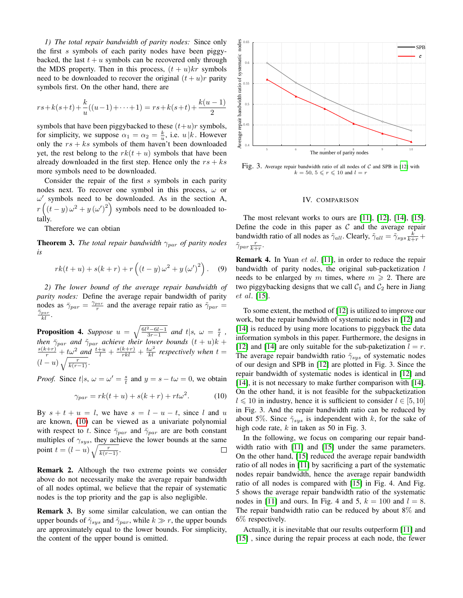*1) The total repair bandwidth of parity nodes:* Since only the first s symbols of each parity nodes have been piggybacked, the last  $t + u$  symbols can be recovered only through the MDS property. Then in this process,  $(t + u)kr$  symbols need to be downloaded to recover the original  $(t+u)r$  parity symbols first. On the other hand, there are

$$
rs + k(s+t) + \frac{k}{u}((u-1) + \dots + 1) = rs + k(s+t) + \frac{k(u-1)}{2}
$$

symbols that have been piggybacked to these  $(t+u)r$  symbols, for simplicity, we suppose  $\alpha_1 = \alpha_2 = \frac{k}{u}$ , i.e.  $u | k$ . However only the  $rs + ks$  symbols of them haven't been downloaded yet, the rest belong to the  $rk(t+u)$  symbols that have been already downloaded in the first step. Hence only the  $rs + ks$ more symbols need to be downloaded.

Consider the repair of the first s symbols in each parity nodes next. To recover one symbol in this process,  $\omega$  or  $\omega'$  symbols need to be downloaded. As in the section A,  $r\left((t-y)\omega^2+y\left(\omega'\right)^2\right)$  symbols need to be downloaded totally.

Therefore we can obtian

**Theorem 3.** *The total repair bandwidth*  $\gamma_{par}$  *of parity nodes is*

$$
rk(t+u) + s(k+r) + r\left((t-y)\omega^2 + y(\omega')^2\right).
$$
 (9)

*2) The lower bound of the average repair bandwidth of parity nodes:* Define the average repair bandwidth of parity nodes as  $\bar{\gamma}_{par} = \frac{\gamma_{par}}{r}$  and the average repair ratio as  $\tilde{\gamma}_{par} =$  $\frac{\bar{\gamma}_{par}}{kl}$ .

**Proposition 4.** Suppose  $u = \sqrt{\frac{6l^2 - 6l - 1}{3r - 1}}$  and  $t|s, \omega = \frac{s}{t}$ , *then*  $\bar{\gamma}_{par}$  *and*  $\tilde{\gamma}_{par}$  *achieve their lower bounds*  $(t + u)k + \frac{s(k+r)}{r} + \frac{t\omega^2}{\omega^2}$  *and*  $\frac{t+u}{l} + \frac{s(k+r)}{rkl} + \frac{t\omega^2}{kl}$  *respectively when*  $t =$  $(l-u)\sqrt{\frac{r}{k(r-1)}}.$ 

*Proof.* Since  $t|s, \omega = \omega' = \frac{s}{t}$  and  $y = s - t\omega = 0$ , we obtain

<span id="page-3-0"></span>
$$
\gamma_{par} = rk(t+u) + s(k+r) + rt\omega^2.
$$
 (10)

By  $s + t + u = l$ , we have  $s = l - u - t$ , since l and u are known, [\(10\)](#page-3-0) can be viewed as a univariate polynomial with respect to t. Since  $\bar{\gamma}_{par}$  and  $\tilde{\gamma}_{par}$  are are both constant multiples of  $\gamma_{sys}$ , they achieve the lower bounds at the same point  $t = (l - u) \sqrt{\frac{r}{k(r-1)}}$ .

Remark 2. Although the two extreme points we consider above do not necessarily make the average repair bandwidth of all nodes optimal, we believe that the repair of systematic nodes is the top priority and the gap is also negligible.

Remark 3. By some similar calculation, we can ontian the upper bounds of  $\tilde{\gamma}_{sys}$  and  $\tilde{\gamma}_{par}$ , while  $k \gg r$ , the upper bounds are approximately equal to the lower bounds. For simplicity, the content of the upper bound is omitted.



Fig. 3. Average repair bandwidth ratio of all nodes of  $C$  and SPB in [\[12\]](#page-4-8) with  $k = 50, \, 5 \leqslant r \leqslant 10$  and  $l = r$ 

# IV. COMPARISON

The most relevant works to ours are [\[11\]](#page-4-7), [\[12\]](#page-4-8), [\[14\]](#page-4-10), [\[15\]](#page-4-11). Define the code in this paper as  $C$  and the average repair bandwidth ratio of all nodes as  $\tilde{\gamma}_{all}$ . Clearly,  $\tilde{\gamma}_{all} = \tilde{\gamma}_{sys} \frac{k}{k+r} + \tilde{\gamma}_{sub}$  $\tilde{\gamma}_{par}\frac{r}{k+r}.$ 

**Remark 4.** In Yuan *et al.* [\[11\]](#page-4-7), in order to reduce the repair bandwidth of parity nodes, the original sub-packetization  $l$ needs to be enlarged by m times, where  $m \geq 2$ . There are two piggybacking designs that we call  $C_1$  and  $C_2$  here in Jiang et al. [\[15\]](#page-4-11).

To some extent, the method of [\[12\]](#page-4-8) is utilized to improve our work, but the repair bandwidth of systematic nodes in [\[12\]](#page-4-8) and [\[14\]](#page-4-10) is reduced by using more locations to piggyback the data information symbols in this paper. Furthermore, the designs in [\[12\]](#page-4-8) and [\[14\]](#page-4-10) are only suitable for the sub-paketization  $l = r$ . The average repair bandwidth ratio  $\tilde{\gamma}_{sys}$  of systematic nodes of our design and SPB in [\[12\]](#page-4-8) are plotted in Fig. 3. Since the repair bandwidth of systematic nodes is identical in [\[12\]](#page-4-8) and [\[14\]](#page-4-10), it is not necessary to make further comparison with [14]. On the other hand, it is not feasible for the subpacketization  $l \le 10$  in industry, hence it is sufficient to consider  $l \in [5, 10]$ in Fig. 3. And the repair bandwidth ratio can be reduced by about 5%. Since  $\tilde{\gamma}_{sys}$  is independent with k, for the sake of high code rate,  $k$  in taken as 50 in Fig. 3.

In the following, we focus on comparing our repair bandwidth ratio with [\[11\]](#page-4-7) and [\[15\]](#page-4-11) under the same parameters. On the other hand, [\[15\]](#page-4-11) reduced the average repair bandwidth ratio of all nodes in [\[11\]](#page-4-7) by sacrificing a part of the systematic nodes repair bandwidth, hence the average repair bandwidth ratio of all nodes is compared with [\[15\]](#page-4-11) in Fig. 4. And Fig. 5 shows the average repair bandwidth ratio of the systematic nodes in [\[11\]](#page-4-7) and ours. In Fig. 4 and 5,  $k = 100$  and  $l = 8$ . The repair bandwidth ratio can be reduced by about 8% and 6% respectively.

Actually, it is inevitable that our results outperform [\[11\]](#page-4-7) and [\[15\]](#page-4-11), since during the repair process at each node, the fewer